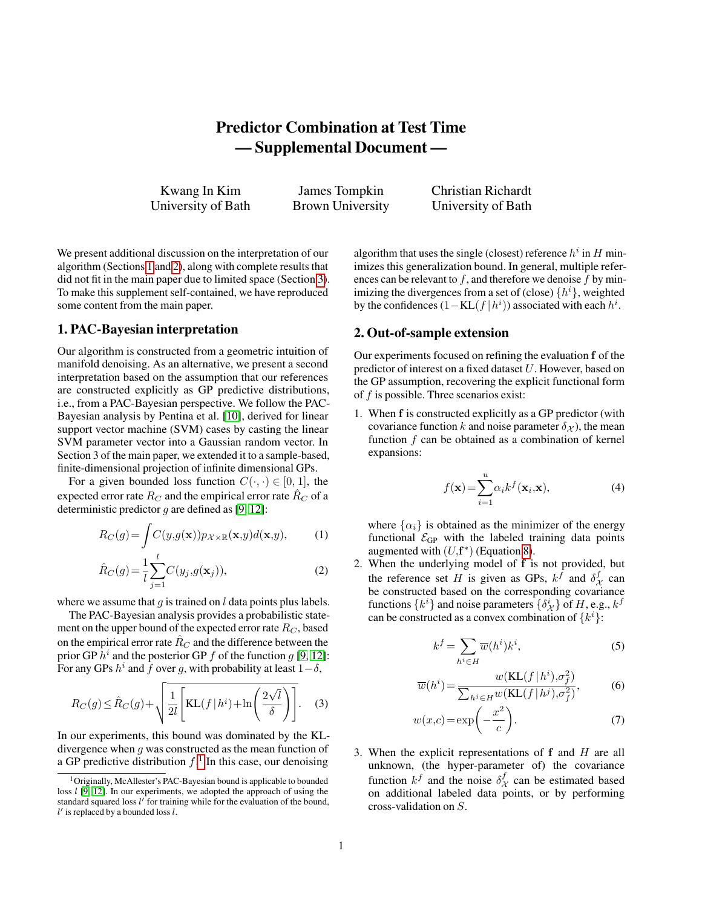# Predictor Combination at Test Time — Supplemental Document —

Kwang In Kim University of Bath

James Tompkin Brown University Christian Richardt University of Bath

We present additional discussion on the interpretation of our algorithm (Sections [1](#page-0-0) and [2\)](#page-0-1), along with complete results that did not fit in the main paper due to limited space (Section [3\)](#page-1-0). To make this supplement self-contained, we have reproduced some content from the main paper.

#### <span id="page-0-0"></span>1. PAC-Bayesian interpretation

Our algorithm is constructed from a geometric intuition of manifold denoising. As an alternative, we present a second interpretation based on the assumption that our references are constructed explicitly as GP predictive distributions, i.e., from a PAC-Bayesian perspective. We follow the PAC-Bayesian analysis by Pentina et al. [\[10\]](#page-3-0), derived for linear support vector machine (SVM) cases by casting the linear SVM parameter vector into a Gaussian random vector. In Section 3 of the main paper, we extended it to a sample-based, finite-dimensional projection of infinite dimensional GPs.

For a given bounded loss function  $C(\cdot, \cdot) \in [0, 1]$ , the expected error rate  $R_C$  and the empirical error rate  $\hat{R}_C$  of a deterministic predictor  $g$  are defined as [\[9,](#page-3-1) [12\]](#page-3-2):

$$
R_C(g) = \int C(y, g(\mathbf{x})) p_{\mathcal{X} \times \mathbb{R}}(\mathbf{x}, y) d(\mathbf{x}, y), \quad (1)
$$

$$
\hat{R}_C(g) = \frac{1}{l} \sum_{j=1}^{l} C(y_j, g(\mathbf{x}_j)),
$$
\n(2)

where we assume that  $g$  is trained on  $l$  data points plus labels.

The PAC-Bayesian analysis provides a probabilistic statement on the upper bound of the expected error rate  $R_C$ , based on the empirical error rate  $\hat{R}_C$  and the difference between the prior GP  $h^i$  and the posterior GP  $f$  of the function  $g$  [\[9,](#page-3-1) [12\]](#page-3-2): For any GPs  $h^i$  and  $\bar{f}$  over g, with probability at least  $1-\delta$ ,

$$
R_C(g) \le \hat{R}_C(g) + \sqrt{\frac{1}{2l} \left[ \text{KL}(f \mid h^i) + \ln\left(\frac{2\sqrt{l}}{\delta}\right) \right]}.
$$
 (3)

In our experiments, this bound was dominated by the KLdivergence when  $g$  was constructed as the mean function of a GP predictive distribution  $f<sup>1</sup>$  $f<sup>1</sup>$  $f<sup>1</sup>$ . In this case, our denoising

algorithm that uses the single (closest) reference  $h^i$  in  $H$  minimizes this generalization bound. In general, multiple references can be relevant to  $f$ , and therefore we denoise  $f$  by minimizing the divergences from a set of (close)  $\{h^i\}$ , weighted by the confidences  $(1 - KL(f|h^i))$  associated with each  $h^i$ .

## <span id="page-0-1"></span>2. Out-of-sample extension

Our experiments focused on refining the evaluation f of the predictor of interest on a fixed dataset U. However, based on the GP assumption, recovering the explicit functional form of  $f$  is possible. Three scenarios exist:

1. When f is constructed explicitly as a GP predictor (with covariance function k and noise parameter  $\delta_{\mathcal{X}}$ ), the mean function  $f$  can be obtained as a combination of kernel expansions:

$$
f(\mathbf{x}) = \sum_{i=1}^{u} \alpha_i k^f(\mathbf{x}_i, \mathbf{x}),
$$
 (4)

where  $\{\alpha_i\}$  is obtained as the minimizer of the energy functional  $\mathcal{E}_{GP}$  with the labeled training data points augmented with  $(U, \mathbf{f}^*)$  (Equation [8\)](#page-1-1).

2. When the underlying model of f is not provided, but the reference set H is given as GPs,  $k^f$  and  $\delta^f_{\mathcal{X}}$  can be constructed based on the corresponding covariance functions  $\{k^i\}$  and noise parameters  $\{\delta^i_{\mathcal{X}}\}$  of  $H$ , e.g.,  $k^f$ can be constructed as a convex combination of  $\{k^i\}$ :

$$
k^f = \sum_{h^i \in H} \overline{w}(h^i) k^i,
$$
 (5)

$$
\overline{w}(h^i) = \frac{w(\text{KL}(f \mid h^i), \sigma_f^2)}{\sum_{h^j \in H} w(\text{KL}(f \mid h^j), \sigma_f^2)},\tag{6}
$$

$$
w(x,c) = \exp\left(-\frac{x^2}{c}\right).
$$
 (7)

3. When the explicit representations of f and H are all unknown, (the hyper-parameter of) the covariance function  $k^f$  and the noise  $\delta^f_{\mathcal{X}}$  can be estimated based on additional labeled data points, or by performing cross-validation on S.

<span id="page-0-2"></span><sup>&</sup>lt;sup>1</sup>Originally, McAllester's PAC-Bayesian bound is applicable to bounded loss  $l$  [\[9,](#page-3-1) [12\]](#page-3-2). In our experiments, we adopted the approach of using the standard squared loss  $l'$  for training while for the evaluation of the bound,  $l'$  is replaced by a bounded loss  $l$ .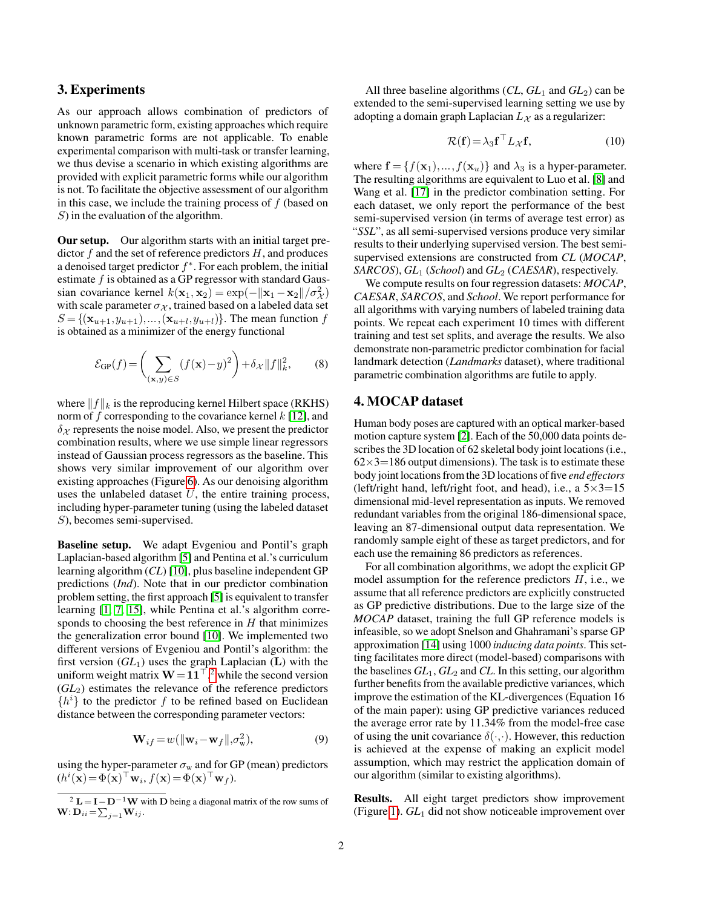#### <span id="page-1-0"></span>3. Experiments

As our approach allows combination of predictors of unknown parametric form, existing approaches which require known parametric forms are not applicable. To enable experimental comparison with multi-task or transfer learning, we thus devise a scenario in which existing algorithms are provided with explicit parametric forms while our algorithm is not. To facilitate the objective assessment of our algorithm in this case, we include the training process of  $f$  (based on  $S$ ) in the evaluation of the algorithm.

Our setup. Our algorithm starts with an initial target predictor  $f$  and the set of reference predictors  $H$ , and produces a denoised target predictor  $f^*$ . For each problem, the initial estimate  $f$  is obtained as a GP regressor with standard Gaussian covariance kernel  $k(\mathbf{x}_1, \mathbf{x}_2) = \exp(-\|\mathbf{x}_1 - \mathbf{x}_2\| / \sigma_X^2)$ with scale parameter  $\sigma_{\mathcal{X}}$ , trained based on a labeled data set  $S = \{ (\mathbf{x}_{u+1}, y_{u+1}), \dots, (\mathbf{x}_{u+l}, y_{u+l}) \}.$  The mean function f is obtained as a minimizer of the energy functional

$$
\mathcal{E}_{\text{GP}}(f) = \left(\sum_{(\mathbf{x}, y) \in S} (f(\mathbf{x}) - y)^2\right) + \delta_{\mathcal{X}} ||f||_k^2, \qquad (8)
$$

where  $||f||_k$  is the reproducing kernel Hilbert space (RKHS) norm of  $f$  corresponding to the covariance kernel  $k$  [\[12\]](#page-3-2), and  $\delta_X$  represents the noise model. Also, we present the predictor combination results, where we use simple linear regressors instead of Gaussian process regressors as the baseline. This shows very similar improvement of our algorithm over existing approaches (Figure [6\)](#page-9-0). As our denoising algorithm uses the unlabeled dataset  $U$ , the entire training process, including hyper-parameter tuning (using the labeled dataset S), becomes semi-supervised.

Baseline setup. We adapt Evgeniou and Pontil's graph Laplacian-based algorithm [\[5\]](#page-3-3) and Pentina et al.'s curriculum learning algorithm (*CL*) [\[10\]](#page-3-0), plus baseline independent GP predictions (*Ind*). Note that in our predictor combination problem setting, the first approach [\[5\]](#page-3-3) is equivalent to transfer learning [\[1,](#page-3-4) [7,](#page-3-5) [15\]](#page-3-6), while Pentina et al.'s algorithm corresponds to choosing the best reference in  $H$  that minimizes the generalization error bound [\[10\]](#page-3-0). We implemented two different versions of Evgeniou and Pontil's algorithm: the first version  $(GL_1)$  uses the graph Laplacian  $(L)$  with the uniform weight matrix  $W = 11<sup>{T}</sup>,<sup>2</sup>$  $W = 11<sup>{T}</sup>,<sup>2</sup>$  $W = 11<sup>{T}</sup>,<sup>2</sup>$  while the second version (*GL*2) estimates the relevance of the reference predictors  $\{h^{i}\}\$  to the predictor f to be refined based on Euclidean distance between the corresponding parameter vectors:

$$
\mathbf{W}_{if} = w(||\mathbf{w}_i - \mathbf{w}_f||, \sigma_w^2),
$$
\n(9)

using the hyper-parameter  $\sigma_w$  and for GP (mean) predictors  $(h^i(\mathbf{x}) = \Phi(\mathbf{x})^\top \mathbf{w}_i, f(\mathbf{x}) = \Phi(\mathbf{x})^\top \mathbf{w}_f).$ 

All three baseline algorithms  $(CL, GL_1 \text{ and } GL_2)$  can be extended to the semi-supervised learning setting we use by adopting a domain graph Laplacian  $L<sub>X</sub>$  as a regularizer:

$$
\mathcal{R}(\mathbf{f}) = \lambda_3 \mathbf{f}^\top L_{\mathcal{X}} \mathbf{f},\tag{10}
$$

where  $f = \{f(\mathbf{x}_1),..., f(\mathbf{x}_u)\}\$ and  $\lambda_3$  is a hyper-parameter. The resulting algorithms are equivalent to Luo et al. [\[8\]](#page-3-7) and Wang et al. [\[17\]](#page-3-8) in the predictor combination setting. For each dataset, we only report the performance of the best semi-supervised version (in terms of average test error) as "*SSL*", as all semi-supervised versions produce very similar results to their underlying supervised version. The best semisupervised extensions are constructed from *CL* (*MOCAP*, *SARCOS*), *GL*<sup>1</sup> (*School*) and *GL*<sup>2</sup> (*CAESAR*), respectively.

We compute results on four regression datasets: *MOCAP*, *CAESAR*, *SARCOS*, and *School*. We report performance for all algorithms with varying numbers of labeled training data points. We repeat each experiment 10 times with different training and test set splits, and average the results. We also demonstrate non-parametric predictor combination for facial landmark detection (*Landmarks* dataset), where traditional parametric combination algorithms are futile to apply.

#### <span id="page-1-1"></span>4. MOCAP dataset

Human body poses are captured with an optical marker-based motion capture system [\[2\]](#page-3-9). Each of the 50,000 data points describes the 3D location of 62 skeletal body joint locations (i.e.,  $62\times3=186$  output dimensions). The task is to estimate these body joint locations from the 3D locations of five *end effectors* (left/right hand, left/right foot, and head), i.e., a  $5 \times 3 = 15$ dimensional mid-level representation as inputs. We removed redundant variables from the original 186-dimensional space, leaving an 87-dimensional output data representation. We randomly sample eight of these as target predictors, and for each use the remaining 86 predictors as references.

For all combination algorithms, we adopt the explicit GP model assumption for the reference predictors  $H$ , i.e., we assume that all reference predictors are explicitly constructed as GP predictive distributions. Due to the large size of the *MOCAP* dataset, training the full GP reference models is infeasible, so we adopt Snelson and Ghahramani's sparse GP approximation [\[14\]](#page-3-10) using 1000 *inducing data points*. This setting facilitates more direct (model-based) comparisons with the baselines *GL*1, *GL*<sup>2</sup> and *CL*. In this setting, our algorithm further benefits from the available predictive variances, which improve the estimation of the KL-divergences (Equation 16 of the main paper): using GP predictive variances reduced the average error rate by 11.34% from the model-free case of using the unit covariance  $\delta(\cdot,\cdot)$ . However, this reduction is achieved at the expense of making an explicit model assumption, which may restrict the application domain of our algorithm (similar to existing algorithms).

Results. All eight target predictors show improvement (Figure [1\)](#page-4-0). *GL*<sup>1</sup> did not show noticeable improvement over

<span id="page-1-2"></span> $\overline{2 L = I - D^{-1} W}$  with D being a diagonal matrix of the row sums of  $\mathbf{W}$ :  $\mathbf{D}_{ii} = \sum_{j=1}^{N} \mathbf{W}_{ij}$ .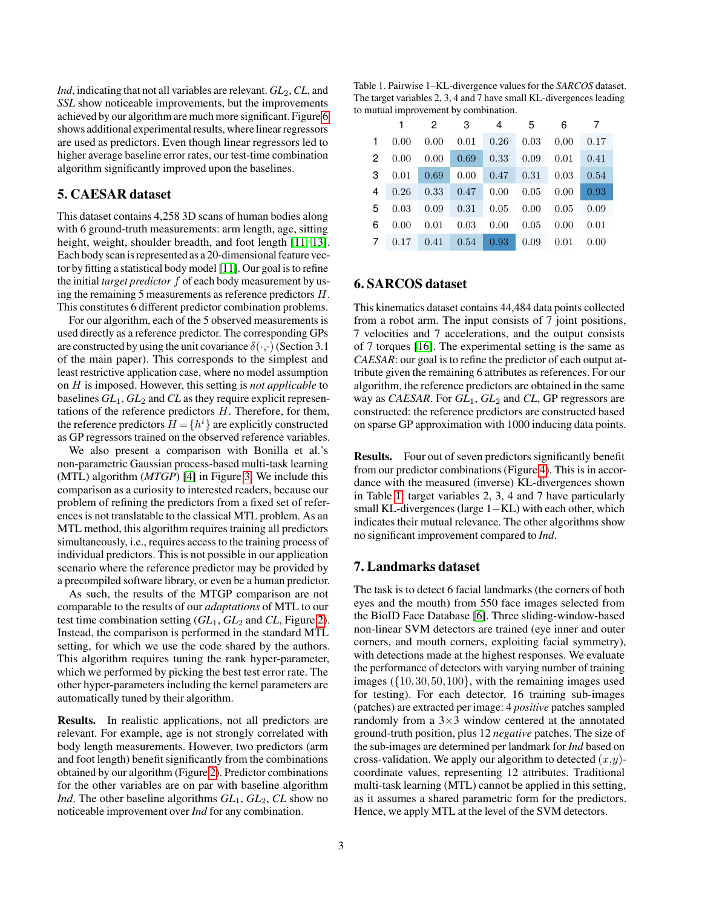*Ind*, indicating that not all variables are relevant.  $GL_2$ ,  $CL$ , and *SSL* show noticeable improvements, but the improvements achieved by our algorithm are much more significant. Figure [6](#page-9-0) shows additional experimental results, where linear regressors are used as predictors. Even though linear regressors led to higher average baseline error rates, our test-time combination algorithm significantly improved upon the baselines.

#### 5. CAESAR dataset

This dataset contains 4,258 3D scans of human bodies along with 6 ground-truth measurements: arm length, age, sitting height, weight, shoulder breadth, and foot length [\[11,](#page-3-11) [13\]](#page-3-12). Each body scan is represented as a 20-dimensional feature vector by fitting a statistical body model [\[11\]](#page-3-11). Our goal is to refine the initial *target predictor* f of each body measurement by using the remaining 5 measurements as reference predictors H. This constitutes 6 different predictor combination problems.

For our algorithm, each of the 5 observed measurements is used directly as a reference predictor. The corresponding GPs are constructed by using the unit covariance  $\delta(\cdot,\cdot)$  (Section 3.1) of the main paper). This corresponds to the simplest and least restrictive application case, where no model assumption on H is imposed. However, this setting is *not applicable* to baselines  $GL_1$ ,  $GL_2$  and  $CL$  as they require explicit representations of the reference predictors  $H$ . Therefore, for them, the reference predictors  $H = \{h^i\}$  are explicitly constructed as GP regressors trained on the observed reference variables.

We also present a comparison with Bonilla et al.'s non-parametric Gaussian process-based multi-task learning (MTL) algorithm (*MTGP*) [\[4\]](#page-3-13) in Figure [3.](#page-6-0) We include this comparison as a curiosity to interested readers, because our problem of refining the predictors from a fixed set of references is not translatable to the classical MTL problem. As an MTL method, this algorithm requires training all predictors simultaneously, i.e., requires access to the training process of individual predictors. This is not possible in our application scenario where the reference predictor may be provided by a precompiled software library, or even be a human predictor.

As such, the results of the MTGP comparison are not comparable to the results of our *adaptations* of MTL to our test time combination setting  $(GL_1, GL_2)$  and  $CL$ , Figure [2\)](#page-5-0). Instead, the comparison is performed in the standard MTL setting, for which we use the code shared by the authors. This algorithm requires tuning the rank hyper-parameter, which we performed by picking the best test error rate. The other hyper-parameters including the kernel parameters are automatically tuned by their algorithm.

Results. In realistic applications, not all predictors are relevant. For example, age is not strongly correlated with body length measurements. However, two predictors (arm and foot length) benefit significantly from the combinations obtained by our algorithm (Figure [2\)](#page-5-0). Predictor combinations for the other variables are on par with baseline algorithm *Ind*. The other baseline algorithms *GL*1, *GL*2, *CL* show no noticeable improvement over *Ind* for any combination.

<span id="page-2-0"></span>Table 1. Pairwise 1–KL-divergence values for the *SARCOS* dataset. The target variables 2, 3, 4 and 7 have small KL-divergences leading to mutual improvement by combination.

|  | 1 2 3 4 5 6 7                               |  |  |  |
|--|---------------------------------------------|--|--|--|
|  | $1$ 0.00 0.00 0.01 0.26 0.03 0.00 0.17      |  |  |  |
|  | 2 0.00 0.00 0.69 0.33 0.09 0.01 0.41        |  |  |  |
|  | 3  0.01  0.69  0.00  0.47  0.31  0.03  0.54 |  |  |  |
|  | 4 0.26 0.33 0.47 0.00 0.05 0.00 0.93        |  |  |  |
|  | 5 0.03 0.09 0.31 0.05 0.00 0.05 0.09        |  |  |  |
|  | 6  0.00  0.01  0.03  0.00  0.05  0.00  0.01 |  |  |  |
|  | 7 0.17 0.41 0.54 0.93 0.09 0.01 0.00        |  |  |  |

## 6. SARCOS dataset

This kinematics dataset contains 44,484 data points collected from a robot arm. The input consists of 7 joint positions, 7 velocities and 7 accelerations, and the output consists of 7 torques [\[16\]](#page-3-14). The experimental setting is the same as *CAESAR*: our goal is to refine the predictor of each output attribute given the remaining 6 attributes as references. For our algorithm, the reference predictors are obtained in the same way as *CAESAR*. For *GL*1, *GL*<sup>2</sup> and *CL*, GP regressors are constructed: the reference predictors are constructed based on sparse GP approximation with 1000 inducing data points.

Results. Four out of seven predictors significantly benefit from our predictor combinations (Figure [4\)](#page-7-0). This is in accordance with the measured (inverse) KL-divergences shown in Table [1:](#page-2-0) target variables 2, 3, 4 and 7 have particularly small KL-divergences (large 1–KL) with each other, which indicates their mutual relevance. The other algorithms show no significant improvement compared to *Ind*.

### 7. Landmarks dataset

The task is to detect 6 facial landmarks (the corners of both eyes and the mouth) from 550 face images selected from the BioID Face Database [\[6\]](#page-3-15). Three sliding-window-based non-linear SVM detectors are trained (eye inner and outer corners, and mouth corners, exploiting facial symmetry), with detections made at the highest responses. We evaluate the performance of detectors with varying number of training images ({10,30,50,100}, with the remaining images used for testing). For each detector, 16 training sub-images (patches) are extracted per image: 4 *positive* patches sampled randomly from a  $3\times3$  window centered at the annotated ground-truth position, plus 12 *negative* patches. The size of the sub-images are determined per landmark for *Ind* based on cross-validation. We apply our algorithm to detected  $(x,y)$ coordinate values, representing 12 attributes. Traditional multi-task learning (MTL) cannot be applied in this setting, as it assumes a shared parametric form for the predictors. Hence, we apply MTL at the level of the SVM detectors.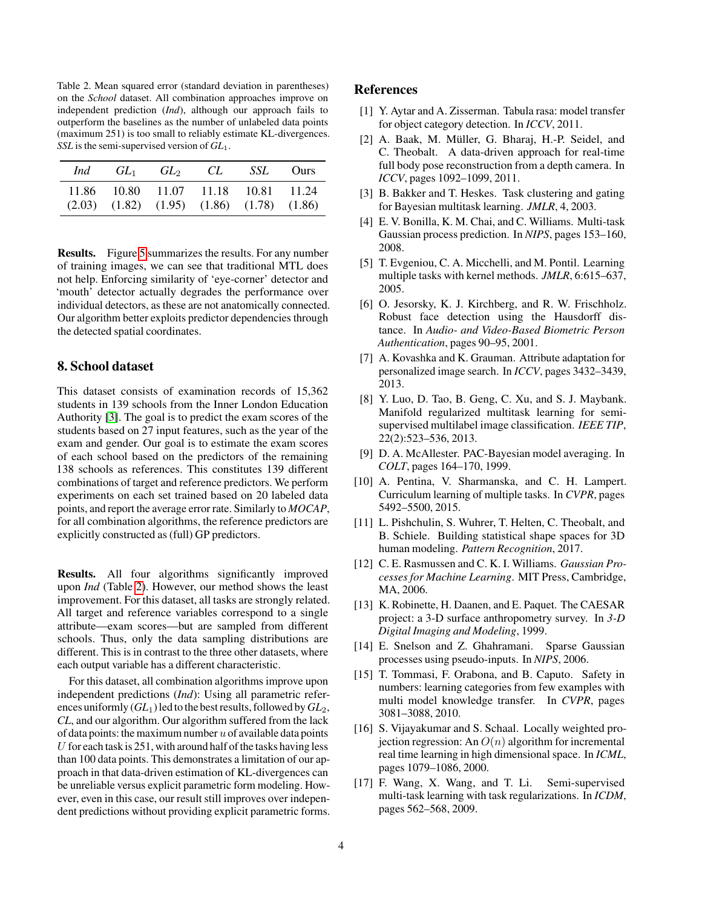<span id="page-3-17"></span>Table 2. Mean squared error (standard deviation in parentheses) on the *School* dataset. All combination approaches improve on independent prediction (*Ind*), although our approach fails to outperform the baselines as the number of unlabeled data points (maximum 251) is too small to reliably estimate KL-divergences. *SSL* is the semi-supervised version of *GL*1.

| Ind | $GL_1$ $GL_2$                                                                                | CL | <i>SSL</i> Ours |
|-----|----------------------------------------------------------------------------------------------|----|-----------------|
|     | 11.86 10.80 11.07 11.18 10.81 11.24<br>$(2.03)$ $(1.82)$ $(1.95)$ $(1.86)$ $(1.78)$ $(1.86)$ |    |                 |

Results. Figure [5](#page-8-0) summarizes the results. For any number of training images, we can see that traditional MTL does not help. Enforcing similarity of 'eye-corner' detector and 'mouth' detector actually degrades the performance over individual detectors, as these are not anatomically connected. Our algorithm better exploits predictor dependencies through the detected spatial coordinates.

### 8. School dataset

This dataset consists of examination records of 15,362 students in 139 schools from the Inner London Education Authority [\[3\]](#page-3-16). The goal is to predict the exam scores of the students based on 27 input features, such as the year of the exam and gender. Our goal is to estimate the exam scores of each school based on the predictors of the remaining 138 schools as references. This constitutes 139 different combinations of target and reference predictors. We perform experiments on each set trained based on 20 labeled data points, and report the average error rate. Similarly to *MOCAP*, for all combination algorithms, the reference predictors are explicitly constructed as (full) GP predictors.

Results. All four algorithms significantly improved upon *Ind* (Table [2\)](#page-3-17). However, our method shows the least improvement. For this dataset, all tasks are strongly related. All target and reference variables correspond to a single attribute—exam scores—but are sampled from different schools. Thus, only the data sampling distributions are different. This is in contrast to the three other datasets, where each output variable has a different characteristic.

For this dataset, all combination algorithms improve upon independent predictions (*Ind*): Using all parametric references uniformly  $(GL_1)$  led to the best results, followed by  $GL_2$ , *CL*, and our algorithm. Our algorithm suffered from the lack of data points: the maximum number  $u$  of available data points U for each task is  $251$ , with around half of the tasks having less than 100 data points. This demonstrates a limitation of our approach in that data-driven estimation of KL-divergences can be unreliable versus explicit parametric form modeling. However, even in this case, our result still improves over independent predictions without providing explicit parametric forms.

#### References

- <span id="page-3-4"></span>[1] Y. Aytar and A. Zisserman. Tabula rasa: model transfer for object category detection. In *ICCV*, 2011.
- <span id="page-3-9"></span>[2] A. Baak, M. Müller, G. Bharaj, H.-P. Seidel, and C. Theobalt. A data-driven approach for real-time full body pose reconstruction from a depth camera. In *ICCV*, pages 1092–1099, 2011.
- <span id="page-3-16"></span>[3] B. Bakker and T. Heskes. Task clustering and gating for Bayesian multitask learning. *JMLR*, 4, 2003.
- <span id="page-3-13"></span>[4] E. V. Bonilla, K. M. Chai, and C. Williams. Multi-task Gaussian process prediction. In *NIPS*, pages 153–160, 2008.
- <span id="page-3-3"></span>[5] T. Evgeniou, C. A. Micchelli, and M. Pontil. Learning multiple tasks with kernel methods. *JMLR*, 6:615–637, 2005.
- <span id="page-3-15"></span>[6] O. Jesorsky, K. J. Kirchberg, and R. W. Frischholz. Robust face detection using the Hausdorff distance. In *Audio- and Video-Based Biometric Person Authentication*, pages 90–95, 2001.
- <span id="page-3-5"></span>[7] A. Kovashka and K. Grauman. Attribute adaptation for personalized image search. In *ICCV*, pages 3432–3439, 2013.
- <span id="page-3-7"></span>[8] Y. Luo, D. Tao, B. Geng, C. Xu, and S. J. Maybank. Manifold regularized multitask learning for semisupervised multilabel image classification. *IEEE TIP*, 22(2):523–536, 2013.
- <span id="page-3-1"></span>[9] D. A. McAllester. PAC-Bayesian model averaging. In *COLT*, pages 164–170, 1999.
- <span id="page-3-0"></span>[10] A. Pentina, V. Sharmanska, and C. H. Lampert. Curriculum learning of multiple tasks. In *CVPR*, pages 5492–5500, 2015.
- <span id="page-3-11"></span>[11] L. Pishchulin, S. Wuhrer, T. Helten, C. Theobalt, and B. Schiele. Building statistical shape spaces for 3D human modeling. *Pattern Recognition*, 2017.
- <span id="page-3-2"></span>[12] C. E. Rasmussen and C. K. I. Williams. *Gaussian Processes for Machine Learning*. MIT Press, Cambridge, MA, 2006.
- <span id="page-3-12"></span>[13] K. Robinette, H. Daanen, and E. Paquet. The CAESAR project: a 3-D surface anthropometry survey. In *3-D Digital Imaging and Modeling*, 1999.
- <span id="page-3-10"></span>[14] E. Snelson and Z. Ghahramani. Sparse Gaussian processes using pseudo-inputs. In *NIPS*, 2006.
- <span id="page-3-6"></span>[15] T. Tommasi, F. Orabona, and B. Caputo. Safety in numbers: learning categories from few examples with multi model knowledge transfer. In *CVPR*, pages 3081–3088, 2010.
- <span id="page-3-14"></span>[16] S. Vijayakumar and S. Schaal. Locally weighted projection regression: An  $O(n)$  algorithm for incremental real time learning in high dimensional space. In *ICML*, pages 1079–1086, 2000.
- <span id="page-3-8"></span>[17] F. Wang, X. Wang, and T. Li. Semi-supervised multi-task learning with task regularizations. In *ICDM*, pages 562–568, 2009.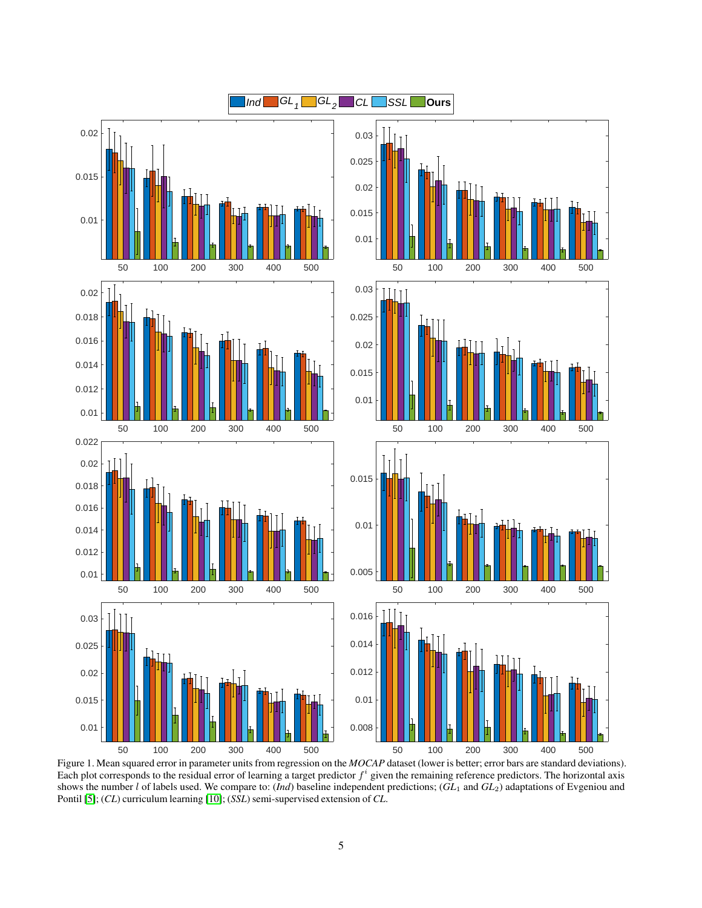

<span id="page-4-0"></span>Figure 1. Mean squared error in parameter units from regression on the *MOCAP* dataset (lower is better; error bars are standard deviations). Each plot corresponds to the residual error of learning a target predictor  $f^i$  given the remaining reference predictors. The horizontal axis shows the number l of labels used. We compare to: (*Ind*) baseline independent predictions; (*GL*<sup>1</sup> and *GL*2) adaptations of Evgeniou and Pontil [\[5\]](#page-3-3); (*CL*) curriculum learning [\[10\]](#page-3-0); (*SSL*) semi-supervised extension of *CL*.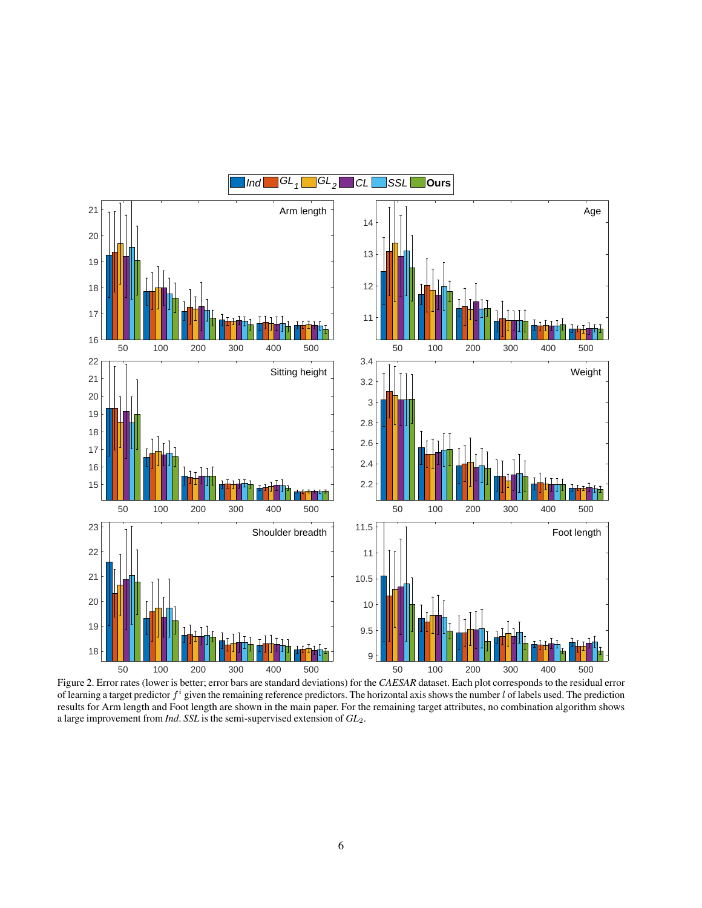

<span id="page-5-0"></span>Figure 2. Error rates (lower is better; error bars are standard deviations) for the *CAESAR* dataset. Each plot corresponds to the residual error of learning a target predictor  $f^i$  given the remaining reference predictors. The horizontal axis shows the number l of labels used. The prediction results for Arm length and Foot length are shown in the main paper. For the remaining target attributes, no combination algorithm shows a large improvement from *Ind*. *SSL* is the semi-supervised extension of *GL*2.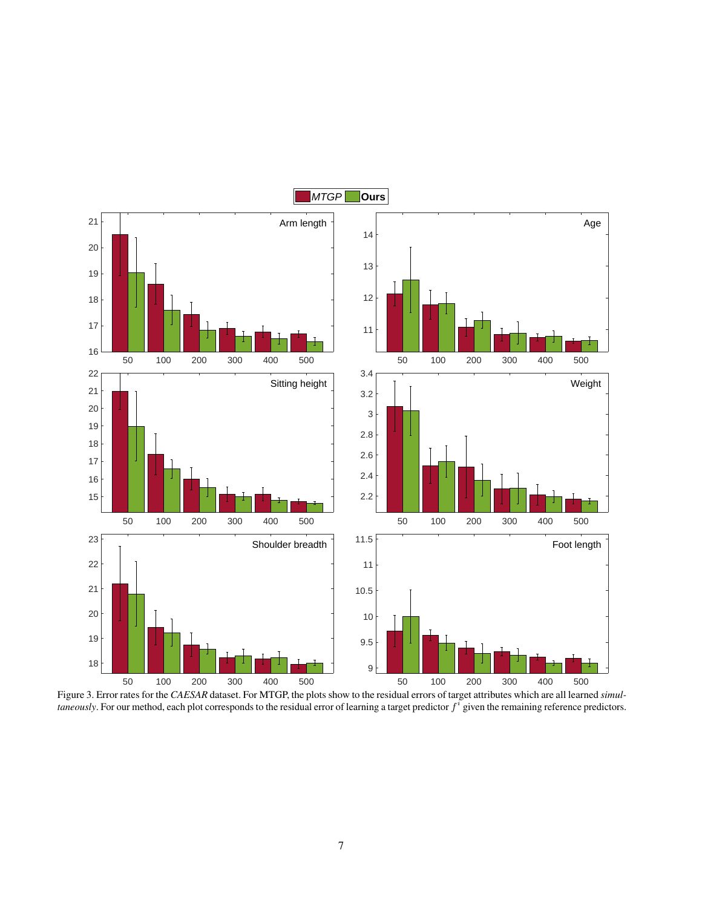

<span id="page-6-0"></span>Figure 3. Error rates for the *CAESAR* dataset. For MTGP, the plots show to the residual errors of target attributes which are all learned *simultaneously*. For our method, each plot corresponds to the residual error of learning a target predictor  $f^i$  given the remaining reference predictors.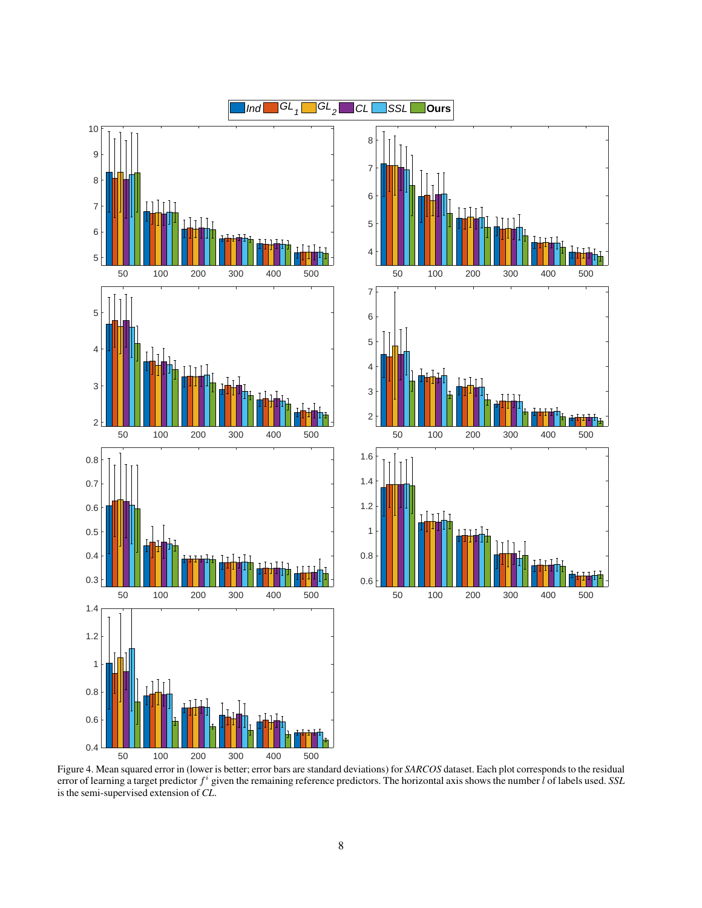



<span id="page-7-0"></span>Figure 4. Mean squared error in (lower is better; error bars are standard deviations) for *SARCOS* dataset. Each plot corresponds to the residual error of learning a target predictor  $f^i$  given the remaining reference predictors. The horizontal axis shows the number  $l$  of labels used. *SSL* is the semi-supervised extension of *CL*.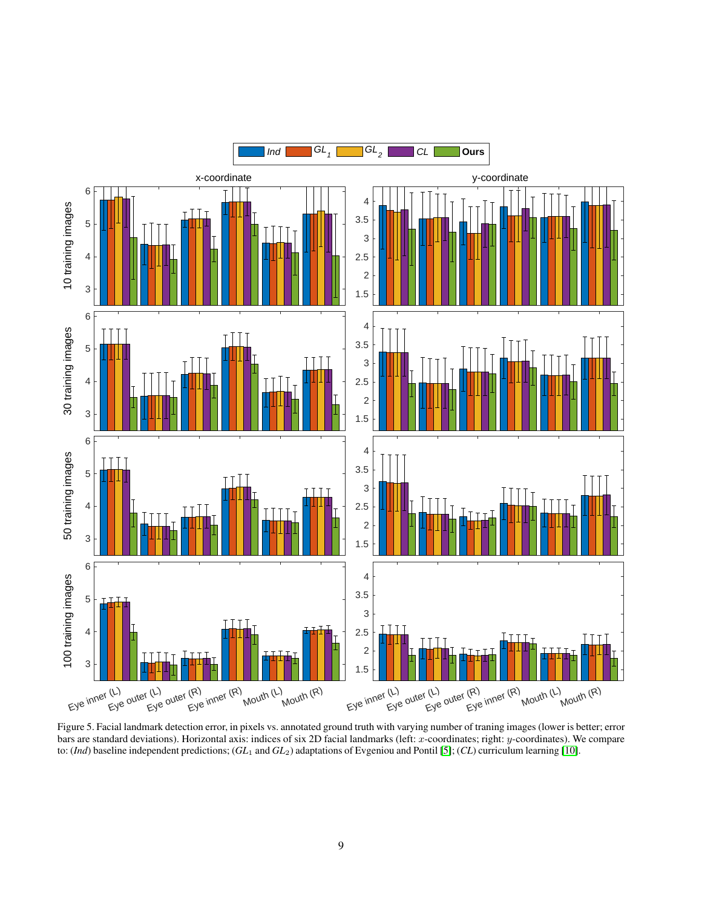

<span id="page-8-0"></span>Figure 5. Facial landmark detection error, in pixels vs. annotated ground truth with varying number of traning images (lower is better; error bars are standard deviations). Horizontal axis: indices of six 2D facial landmarks (left: x-coordinates; right: y-coordinates). We compare to: (*Ind*) baseline independent predictions; (*GL*<sup>1</sup> and *GL*2) adaptations of Evgeniou and Pontil [\[5\]](#page-3-3); (*CL*) curriculum learning [\[10\]](#page-3-0).